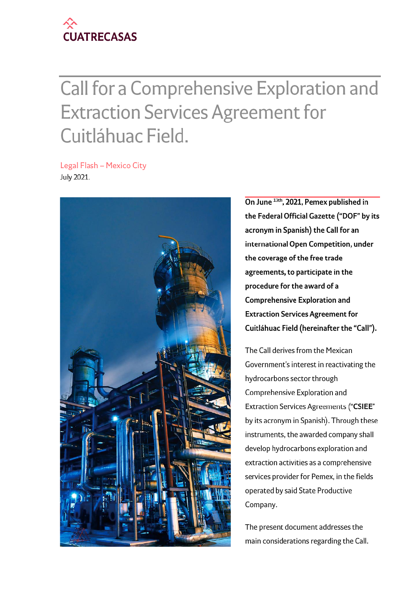

# Call for a Comprehensive Exploration and Extraction Services Agreement for Cuitlàhuac Field.

Legal Flash - Mexico City July 2021.



**On June13th, 2021, Pemex published in the Federal Official Gazette ("DOF" by its acronym in Spanish) the Call for an international Open Competition, under the coverage ofthe free trade agreements, to participate in the procedure for the award of a Comprehensive Exploration and Extraction Services Agreement for Cuitlahuac Field (hereinafter the "Call").**

The Call derives from the Mexican Government's interest in reactivating the hydrocarbons sector through Comprehensive Exploration and Extraction Services Agreements **("CSIEE"** by its acronym in Spanish). Through these instruments, the awarded company shall develop hydrocarbons exploration and extraction activities as a comprehensive services provider for Pemex, in the fields operated by said State Productive Company.

The present document addresses the main considerations regarding the Call.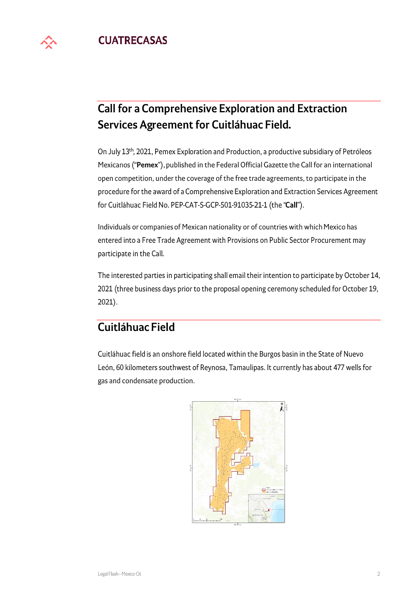

# Call for a Comprehensive Exploration and Extraction Services Agreement for Cuitláhuac Field.

On July 13th, 2021, Pemex Exploration and Production, a productive subsidiary of Petróleos Mexicanos **("Pemex"),** published in the Federal Official Gazette the Call for an international open competition, under the coverage of the free trade agreements, to participate in the procedure for the award of a Comprehensive Exploration and Extraction Services Agreement for Cuitlahuac Field No. PEP-CAT-S-GCP-501-91035-21-1 (the **"Call").**

Individuals or companies of Mexican nationality or of countries with which Mexico has entered into a Free Trade Agreement with Provisions on Public Sector Procurement may participate in the Call.

The interested parties in participating shall email their intention to participate by October 14, 2021 (three business days prior to the proposal opening ceremony scheduled for October 19, 2021).

## Cuitlahuac Field

Cuitlahuac field is an onshore field located within the Burgos basin in the State of Nuevo León, 60 kilometers southwest of Reynosa, Tamaulipas. It currently has about 477 wells for gas and condensate production.

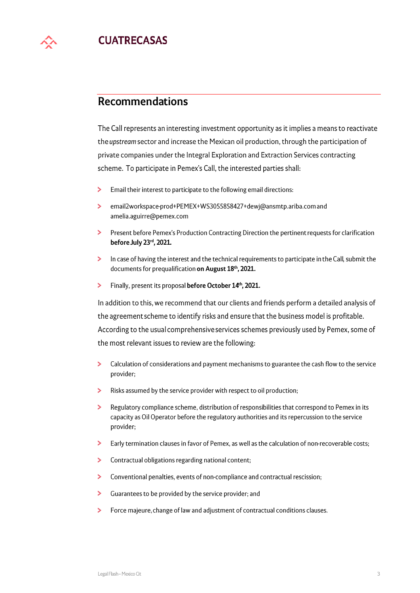

CUATRECASAS **yv**

## Recommendations

The Call represents an interesting investment opportunity as it implies a means to reactivate the *upstream* sector and increase the Mexican oil production, through the participation of private companies under the Integral Exploration and Extraction Services contracting scheme. To participate in Pemex's Call, the interested parties shall:

- > Email their interest to participate to the following email directions:
- > email2workspace-prod+PEMEX+WS3055858427+dewj@ansmtp.ariba.com and amelia.aguirre@pemex.com
- > Present before Pemex's Production Contracting Direction the pertinent requests for clarification **before July 23rd, 2021.**
- > In case of having the interest and the technical requirements to participate in the Call, submit the documents for prequalification **on August 18th, 2021.**
- > Finally, present its proposal **before October** 14th, 2021.

In addition to this, we recommend that our clients and friends perform a detailed analysis of the agreement scheme to identify risks and ensure that the business model is profitable. According to the usual comprehensive services schemes previously used by Pemex, some of the most relevant issues to review are the following:

- > Calculation of considerations and payment mechanisms to guarantee the cash flow to the service provider;
- > Risks assumed by the service provider with respect to oil production;
- > Regulatory compliance scheme, distribution of responsibilities that correspond to Pemex in its capacity as Oil Operator before the regulatory authorities and its repercussion to the service provider;
- > Early termination clauses in favor of Pemex, as well as the calculation of non-recoverable costs;
- > Contractual obligations regarding national content;
- > Conventional penalties, events of non-compliance and contractual rescission;
- > Guarantees to be provided by the service provider; and
- > Force majeure, change of law and adjustment of contractual conditions clauses.